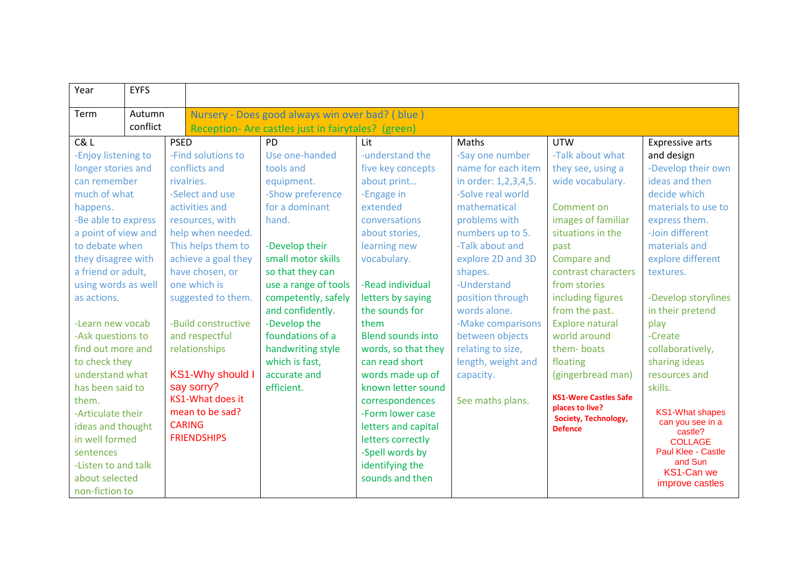| Year                | <b>EYFS</b> |                 |                                                    |                      |                          |                      |                                                 |                                            |
|---------------------|-------------|-----------------|----------------------------------------------------|----------------------|--------------------------|----------------------|-------------------------------------------------|--------------------------------------------|
| Term                | Autumn      |                 | Nursery - Does good always win over bad? (blue)    |                      |                          |                      |                                                 |                                            |
| conflict            |             |                 | Reception- Are castles just in fairytales? (green) |                      |                          |                      |                                                 |                                            |
| C& L                |             | <b>PSED</b>     |                                                    | PD                   | Lit                      | Maths                | <b>UTW</b>                                      | <b>Expressive arts</b>                     |
| -Enjoy listening to |             |                 | -Find solutions to                                 | Use one-handed       | -understand the          | -Say one number      | -Talk about what                                | and design                                 |
| longer stories and  |             |                 | conflicts and                                      | tools and            | five key concepts        | name for each item   | they see, using a                               | -Develop their own                         |
| can remember        |             |                 | rivalries.                                         | equipment.           | about print              | in order: 1,2,3,4,5. | wide vocabulary.                                | ideas and then                             |
| much of what        |             | -Select and use |                                                    | -Show preference     | -Engage in               | -Solve real world    |                                                 | decide which                               |
| happens.            |             |                 | activities and                                     | for a dominant       | extended                 | mathematical         | Comment on                                      | materials to use to                        |
| -Be able to express |             |                 | resources, with                                    | hand.                | conversations            | problems with        | images of familiar                              | express them.                              |
| a point of view and |             |                 | help when needed.                                  |                      | about stories,           | numbers up to 5.     | situations in the                               | -Join different                            |
| to debate when      |             |                 | This helps them to                                 | -Develop their       | learning new             | -Talk about and      | past                                            | materials and                              |
| they disagree with  |             |                 | achieve a goal they                                | small motor skills   | vocabulary.              | explore 2D and 3D    | Compare and                                     | explore different                          |
| a friend or adult,  |             |                 | have chosen, or                                    | so that they can     |                          | shapes.              | contrast characters                             | textures.                                  |
| using words as well |             |                 | one which is                                       | use a range of tools | -Read individual         | -Understand          | from stories                                    |                                            |
| as actions.         |             |                 | suggested to them.                                 | competently, safely  | letters by saying        | position through     | including figures                               | -Develop storylines                        |
|                     |             |                 |                                                    | and confidently.     | the sounds for           | words alone.         | from the past.                                  | in their pretend                           |
| -Learn new vocab    |             |                 | -Build constructive                                | -Develop the         | them                     | -Make comparisons    | <b>Explore natural</b>                          | play                                       |
| -Ask questions to   |             |                 | and respectful                                     | foundations of a     | <b>Blend sounds into</b> | between objects      | world around                                    | -Create                                    |
| find out more and   |             |                 | relationships                                      | handwriting style    | words, so that they      | relating to size,    | them-boats                                      | collaboratively,                           |
| to check they       |             |                 |                                                    | which is fast,       | can read short           | length, weight and   | floating                                        | sharing ideas                              |
| understand what     |             |                 | <b>KS1-Why should I</b>                            | accurate and         | words made up of         | capacity.            | (gingerbread man)                               | resources and                              |
| has been said to    |             |                 | say sorry?                                         | efficient.           | known letter sound       |                      |                                                 | skills.                                    |
| them.               |             |                 | KS1-What does it                                   |                      | correspondences          | See maths plans.     | <b>KS1-Were Castles Safe</b><br>places to live? |                                            |
| -Articulate their   |             |                 | mean to be sad?                                    |                      | -Form lower case         |                      | Society, Technology,                            | <b>KS1-What shapes</b><br>can you see in a |
| ideas and thought   |             |                 | <b>CARING</b>                                      |                      | letters and capital      |                      | <b>Defence</b>                                  | castle?                                    |
| in well formed      |             |                 | <b>FRIENDSHIPS</b>                                 |                      | letters correctly        |                      |                                                 | <b>COLLAGE</b>                             |
| sentences           |             |                 |                                                    |                      | -Spell words by          |                      |                                                 | Paul Klee - Castle                         |
| -Listen to and talk |             |                 |                                                    |                      | identifying the          |                      |                                                 | and Sun<br>KS1-Can we                      |
| about selected      |             |                 |                                                    |                      | sounds and then          |                      |                                                 | improve castles                            |
| non-fiction to      |             |                 |                                                    |                      |                          |                      |                                                 |                                            |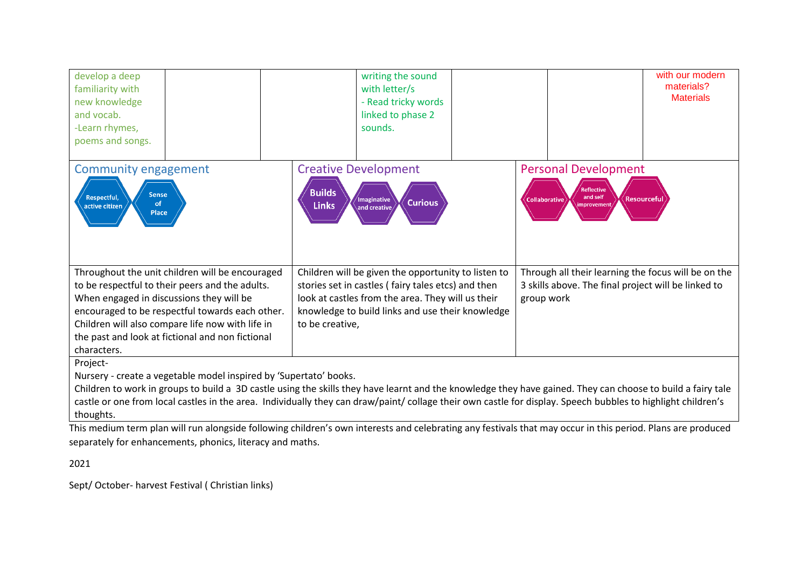| develop a deep<br>familiarity with<br>new knowledge<br>and vocab.<br>-Learn rhymes,<br>poems and songs.                                                                                                                                                                                                                  | writing the sound<br>with letter/s<br>- Read tricky words<br>linked to phase 2<br>sounds.                                                                                                                                             | with our modern<br>materials?<br><b>Materials</b>                                                                        |  |  |  |  |  |  |
|--------------------------------------------------------------------------------------------------------------------------------------------------------------------------------------------------------------------------------------------------------------------------------------------------------------------------|---------------------------------------------------------------------------------------------------------------------------------------------------------------------------------------------------------------------------------------|--------------------------------------------------------------------------------------------------------------------------|--|--|--|--|--|--|
| <b>Community engagement</b>                                                                                                                                                                                                                                                                                              | <b>Creative Development</b>                                                                                                                                                                                                           | <b>Personal Development</b>                                                                                              |  |  |  |  |  |  |
| <b>Sense</b><br>Respectful,<br><b>of</b><br>active citizen<br>Place                                                                                                                                                                                                                                                      | <b>Builds</b><br>/Imaginative<br><b>Curious</b><br><b>Links</b><br>and creative                                                                                                                                                       | Reflective<br>and self<br><b>Resourceful</b><br>Collaborative<br>improvemen                                              |  |  |  |  |  |  |
| Throughout the unit children will be encouraged<br>to be respectful to their peers and the adults.<br>When engaged in discussions they will be<br>encouraged to be respectful towards each other.<br>Children will also compare life now with life in<br>the past and look at fictional and non fictional<br>characters. | Children will be given the opportunity to listen to<br>stories set in castles (fairy tales etcs) and then<br>look at castles from the area. They will us their<br>knowledge to build links and use their knowledge<br>to be creative, | Through all their learning the focus will be on the<br>3 skills above. The final project will be linked to<br>group work |  |  |  |  |  |  |
| Project-<br>Nursery - create a vegetable model inspired by 'Supertato' books.                                                                                                                                                                                                                                            |                                                                                                                                                                                                                                       |                                                                                                                          |  |  |  |  |  |  |

Children to work in groups to build a 3D castle using the skills they have learnt and the knowledge they have gained. They can choose to build a fairy tale castle or one from local castles in the area. Individually they can draw/paint/ collage their own castle for display. Speech bubbles to highlight children's thoughts.

This medium term plan will run alongside following children's own interests and celebrating any festivals that may occur in this period. Plans are produced separately for enhancements, phonics, literacy and maths.

2021

Sept/ October- harvest Festival ( Christian links)